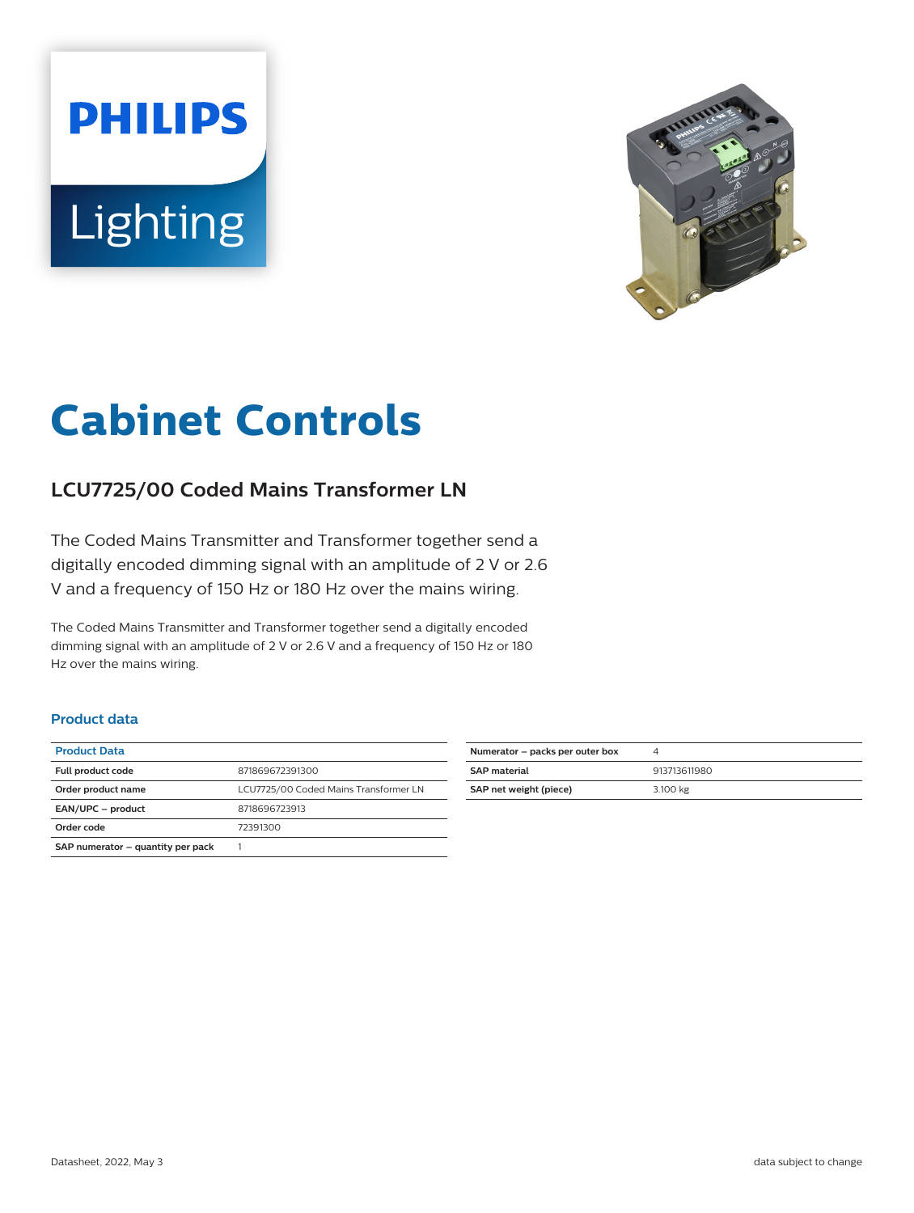# **PHILIPS** Lighting



## **Cabinet Controls**

### **LCU7725/00 Coded Mains Transformer LN**

The Coded Mains Transmitter and Transformer together send a digitally encoded dimming signal with an amplitude of 2 V or 2.6 V and a frequency of 150 Hz or 180 Hz over the mains wiring.

The Coded Mains Transmitter and Transformer together send a digitally encoded dimming signal with an amplitude of 2 V or 2.6 V and a frequency of 150 Hz or 180 Hz over the mains wiring.

#### **Product data**

| <b>Product Data</b>               |                                       |
|-----------------------------------|---------------------------------------|
| Full product code                 | 871869672391300                       |
| Order product name                | LCU7725/00 Coded Mains Transformer LN |
| EAN/UPC - product                 | 8718696723913                         |
| Order code                        | 72391300                              |
| SAP numerator - quantity per pack |                                       |

| Numerator - packs per outer box | 4            |
|---------------------------------|--------------|
| <b>SAP material</b>             | 913713611980 |
| SAP net weight (piece)          | 3.100 kg     |